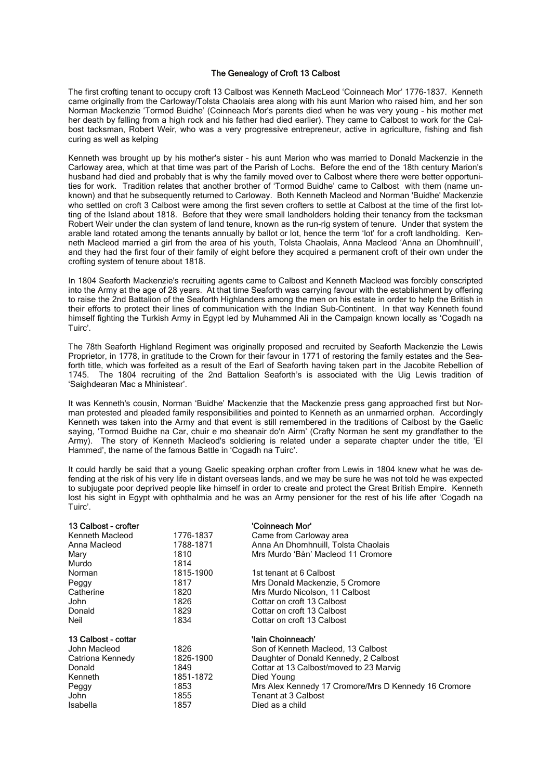## The Genealogy of Croft 13 Calbost

The first crofting tenant to occupy croft 13 Calbost was Kenneth MacLeod 'Coinneach Mor' 1776-1837. Kenneth came originally from the Carloway/Tolsta Chaolais area along with his aunt Marion who raised him, and her son Norman Mackenzie 'Tormod Buidhe' (Coinneach Mor's parents died when he was very young - his mother met her death by falling from a high rock and his father had died earlier). They came to Calbost to work for the Calbost tacksman, Robert Weir, who was a very progressive entrepreneur, active in agriculture, fishing and fish curing as well as kelping

Kenneth was brought up by his mother's sister – his aunt Marion who was married to Donald Mackenzie in the Carloway area, which at that time was part of the Parish of Lochs. Before the end of the 18th century Marion's husband had died and probably that is why the family moved over to Calbost where there were better opportunities for work. Tradition relates that another brother of 'Tormod Buidhe' came to Calbost with them (name unknown) and that he subsequently returned to Carloway. Both Kenneth Macleod and Norman 'Buidhe' Mackenzie who settled on croft 3 Calbost were among the first seven crofters to settle at Calbost at the time of the first lotting of the Island about 1818. Before that they were small landholders holding their tenancy from the tacksman Robert Weir under the clan system of land tenure, known as the run-rig system of tenure. Under that system the arable land rotated among the tenants annually by ballot or lot, hence the term 'lot' for a croft landholding. Kenneth Macleod married a girl from the area of his youth, Tolsta Chaolais, Anna Macleod 'Anna an Dhomhnuill', and they had the first four of their family of eight before they acquired a permanent croft of their own under the crofting system of tenure about 1818.

In 1804 Seaforth Mackenzie's recruiting agents came to Calbost and Kenneth Macleod was forcibly conscripted into the Army at the age of 28 years. At that time Seaforth was carrying favour with the establishment by offering to raise the 2nd Battalion of the Seaforth Highlanders among the men on his estate in order to help the British in their efforts to protect their lines of communication with the Indian Sub-Continent. In that way Kenneth found himself fighting the Turkish Army in Egypt led by Muhammed Ali in the Campaign known locally as 'Cogadh na Tuirc'.

The 78th Seaforth Highland Regiment was originally proposed and recruited by Seaforth Mackenzie the Lewis Proprietor, in 1778, in gratitude to the Crown for their favour in 1771 of restoring the family estates and the Seaforth title, which was forfeited as a result of the Earl of Seaforth having taken part in the Jacobite Rebellion of 1745. The 1804 recruiting of the 2nd Battalion Seaforth's is associated with the Uig Lewis tradition of 'Saighdearan Mac a Mhinistear'.

It was Kenneth's cousin, Norman 'Buidhe' Mackenzie that the Mackenzie press gang approached first but Norman protested and pleaded family responsibilities and pointed to Kenneth as an unmarried orphan. Accordingly Kenneth was taken into the Army and that event is still remembered in the traditions of Calbost by the Gaelic saying, 'Tormod Buidhe na Car, chuir e mo sheanair do'n Airm' (Crafty Norman he sent my grandfather to the Army). The story of Kenneth Macleod's soldiering is related under a separate chapter under the title, 'El Hammed', the name of the famous Battle in 'Cogadh na Tuirc'.

It could hardly be said that a young Gaelic speaking orphan crofter from Lewis in 1804 knew what he was defending at the risk of his very life in distant overseas lands, and we may be sure he was not told he was expected to subjugate poor deprived people like himself in order to create and protect the Great British Empire. Kenneth lost his sight in Egypt with ophthalmia and he was an Army pensioner for the rest of his life after 'Cogadh na Tuirc'.

| 13 Calbost - crofter |           | 'Coinneach Mor'                                      |
|----------------------|-----------|------------------------------------------------------|
| Kenneth Macleod      | 1776-1837 | Came from Carloway area                              |
| Anna Macleod         | 1788-1871 | Anna An Dhomhnuill, Tolsta Chaolais                  |
| Mary                 | 1810      | Mrs Murdo 'Bàn' Macleod 11 Cromore                   |
| Murdo                | 1814      |                                                      |
| Norman               | 1815-1900 | 1st tenant at 6 Calbost                              |
| Peggy                | 1817      | Mrs Donald Mackenzie, 5 Cromore                      |
| Catherine            | 1820      | Mrs Murdo Nicolson, 11 Calbost                       |
| John                 | 1826      | Cottar on croft 13 Calbost                           |
| Donald               | 1829      | Cottar on croft 13 Calbost                           |
| Neil                 | 1834      | Cottar on croft 13 Calbost                           |
| 13 Calbost - cottar  |           | 'lain Choinneach'                                    |
| John Macleod         | 1826      | Son of Kenneth Macleod, 13 Calbost                   |
| Catriona Kennedy     | 1826-1900 | Daughter of Donald Kennedy, 2 Calbost                |
| Donald               | 1849      | Cottar at 13 Calbost/moved to 23 Marvig              |
| Kenneth              | 1851-1872 | Died Young                                           |
| Peggy                | 1853      | Mrs Alex Kennedy 17 Cromore/Mrs D Kennedy 16 Cromore |
| John                 | 1855      | <b>Tenant at 3 Calbost</b>                           |
| Isabella             | 1857      | Died as a child                                      |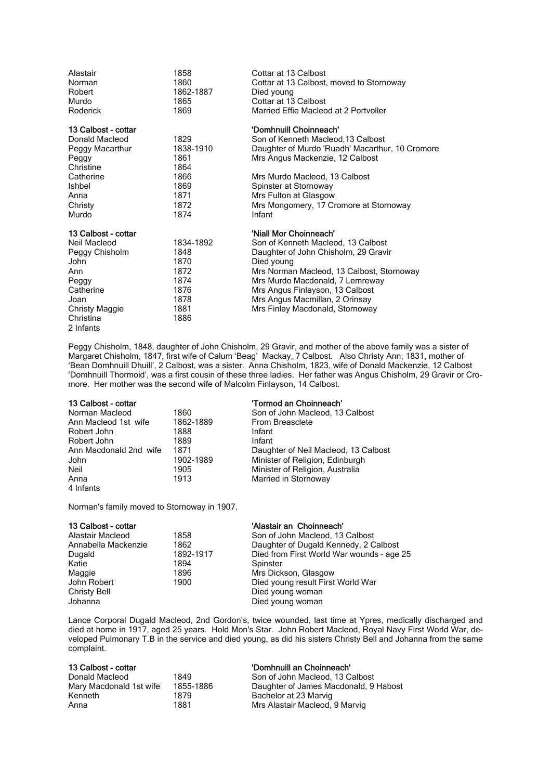| Alastair<br>Norman<br>Robert<br>Murdo<br>Roderick | 1858<br>1860<br>1862-1887<br>1865<br>1869 | Cottar at 13 Calbost<br>Cottar at 13 Calbost, moved to Stornoway<br>Died young<br>Cottar at 13 Calbost<br>Married Effie Macleod at 2 Portvoller |
|---------------------------------------------------|-------------------------------------------|-------------------------------------------------------------------------------------------------------------------------------------------------|
| 13 Calbost - cottar                               |                                           | 'Domhnuill Choinneach'                                                                                                                          |
| Donald Macleod                                    | 1829                                      | Son of Kenneth Macleod, 13 Calbost                                                                                                              |
| Peggy Macarthur                                   | 1838-1910                                 | Daughter of Murdo 'Ruadh' Macarthur, 10 Cromore                                                                                                 |
| Peggy                                             | 1861                                      | Mrs Angus Mackenzie, 12 Calbost                                                                                                                 |
| Christine                                         | 1864                                      |                                                                                                                                                 |
| Catherine                                         | 1866                                      | Mrs Murdo Macleod, 13 Calbost                                                                                                                   |
| <b>Ishbel</b>                                     | 1869                                      | Spinster at Stornoway                                                                                                                           |
| Anna                                              | 1871                                      | Mrs Fulton at Glasgow                                                                                                                           |
| Christy                                           | 1872                                      | Mrs Mongomery, 17 Cromore at Stornoway                                                                                                          |
| Murdo                                             | 1874                                      | Infant                                                                                                                                          |
| 13 Calbost - cottar                               |                                           | 'Niall Mor Choinneach'                                                                                                                          |
| Neil Macleod                                      | 1834-1892                                 | Son of Kenneth Macleod, 13 Calbost                                                                                                              |
| Peggy Chisholm                                    | 1848                                      | Daughter of John Chisholm, 29 Gravir                                                                                                            |
| John                                              | 1870                                      | Died young                                                                                                                                      |
| Ann                                               | 1872                                      | Mrs Norman Macleod, 13 Calbost, Stornoway                                                                                                       |
| Peggy                                             | 1874                                      | Mrs Murdo Macdonald, 7 Lemreway                                                                                                                 |
| Catherine                                         | 1876                                      | Mrs Angus Finlayson, 13 Calbost                                                                                                                 |
| Joan                                              | 1878                                      | Mrs Angus Macmillan, 2 Orinsay                                                                                                                  |
| <b>Christy Maggie</b>                             | 1881                                      | Mrs Finlay Macdonald, Stornoway                                                                                                                 |
| Christina                                         | 1886                                      |                                                                                                                                                 |
| 2 Infants                                         |                                           |                                                                                                                                                 |

Peggy Chisholm, 1848, daughter of John Chisholm, 29 Gravir, and mother of the above family was a sister of Margaret Chisholm, 1847, first wife of Calum 'Beag' Mackay, 7 Calbost. Also Christy Ann, 1831, mother of 'Bean Domhnuill Dhuill', 2 Calbost, was a sister. Anna Chisholm, 1823, wife of Donald Mackenzie, 12 Calbost 'Domhnuill Thormoid', was a first cousin of these three ladies. Her father was Angus Chisholm, 29 Gravir or Cromore. Her mother was the second wife of Malcolm Finlayson, 14 Calbost.

| 13 Calbost - cottar    |           | 'Tormod an Choinneach'               |
|------------------------|-----------|--------------------------------------|
| Norman Macleod         | 1860      | Son of John Macleod, 13 Calbost      |
| Ann Macleod 1st wife   | 1862-1889 | <b>From Breasclete</b>               |
| Robert John            | 1888      | Infant                               |
| Robert John            | 1889      | Infant                               |
| Ann Macdonald 2nd wife | 1871      | Daughter of Neil Macleod, 13 Calbost |
| John                   | 1902-1989 | Minister of Religion, Edinburgh      |
| Neil                   | 1905      | Minister of Religion, Australia      |
| Anna                   | 1913      | Married in Stornoway                 |
| 4 Infants              |           |                                      |

Norman's family moved to Stornoway in 1907.

| 13 Calbost - cottar<br>Alastair Macleod<br>Annabella Mackenzie<br>Dugald<br>Katie<br>Maggie<br>John Robert<br><b>Christy Bell</b> | 1858<br>1862<br>1892-1917<br>1894<br>1896<br>1900 | 'Alastair an Choinneach'<br>Son of John Macleod, 13 Calbost<br>Daughter of Dugald Kennedy, 2 Calbost<br>Died from First World War wounds - age 25<br>Spinster<br>Mrs Dickson, Glasgow<br>Died young result First World War<br>Died young woman |
|-----------------------------------------------------------------------------------------------------------------------------------|---------------------------------------------------|------------------------------------------------------------------------------------------------------------------------------------------------------------------------------------------------------------------------------------------------|
|                                                                                                                                   |                                                   | Died young woman                                                                                                                                                                                                                               |
| Johanna                                                                                                                           |                                                   |                                                                                                                                                                                                                                                |

Lance Corporal Dugald Macleod, 2nd Gordon's, twice wounded, last time at Ypres, medically discharged and died at home in 1917, aged 25 years. Hold Mon's Star. John Robert Macleod, Royal Navy First World War, developed Pulmonary T.B in the service and died young, as did his sisters Christy Bell and Johanna from the same complaint.

## 13 Calbost - cottar 'Domhnuill an Choinneach'

| Donald Macleod          | 1849      | Son of . |
|-------------------------|-----------|----------|
| Mary Macdonald 1st wife | 1855-1886 | Daught   |
| Kenneth                 | 1879      | Bacheld  |
| Anna                    | 1881      | Mrs Ala  |
|                         |           |          |

John Macleod, 13 Calbost ter of James Macdonald, 9 Habost or at 23 Marvig astair Macleod, 9 Marvig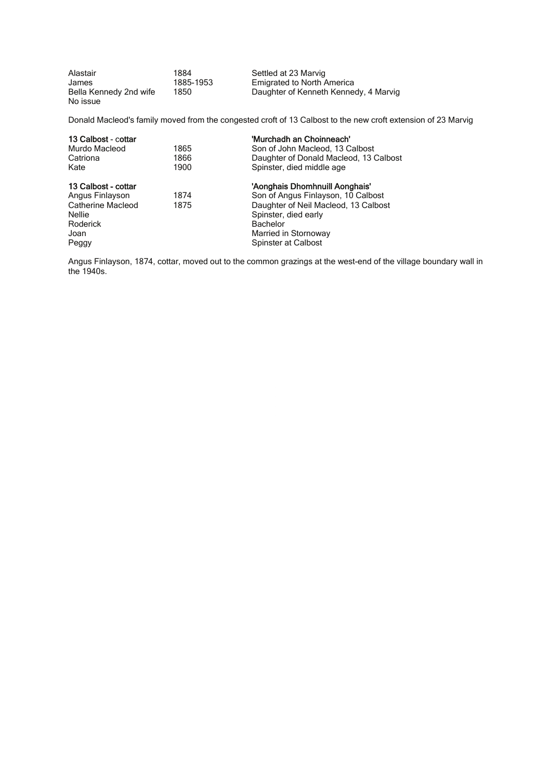| Alastair               | 1884      | Settled at 23 Marvig                  |
|------------------------|-----------|---------------------------------------|
| James                  | 1885-1953 | <b>Emigrated to North America</b>     |
| Bella Kennedy 2nd wife | 1850      | Daughter of Kenneth Kennedy, 4 Marvig |
| No issue               |           |                                       |

Donald Macleod's family moved from the congested croft of 13 Calbost to the new croft extension of 23 Marvig

| 13 Calbost - cottar |      | 'Murchadh an Choinneach'               |
|---------------------|------|----------------------------------------|
| Murdo Macleod       | 1865 | Son of John Macleod, 13 Calbost        |
| Catriona            | 1866 | Daughter of Donald Macleod, 13 Calbost |
| Kate                | 1900 | Spinster, died middle age              |
| 13 Calbost - cottar |      | 'Aonghais Dhomhnuill Aonghais'         |
| Angus Finlayson     | 1874 | Son of Angus Finlayson, 10 Calbost     |
| Catherine Macleod   | 1875 | Daughter of Neil Macleod, 13 Calbost   |
| <b>Nellie</b>       |      | Spinster, died early                   |
| Roderick            |      | <b>Bachelor</b>                        |
| Joan                |      | Married in Stornoway                   |
| Peggy               |      | Spinster at Calbost                    |

Angus Finlayson, 1874, cottar, moved out to the common grazings at the west-end of the village boundary wall in the 1940s.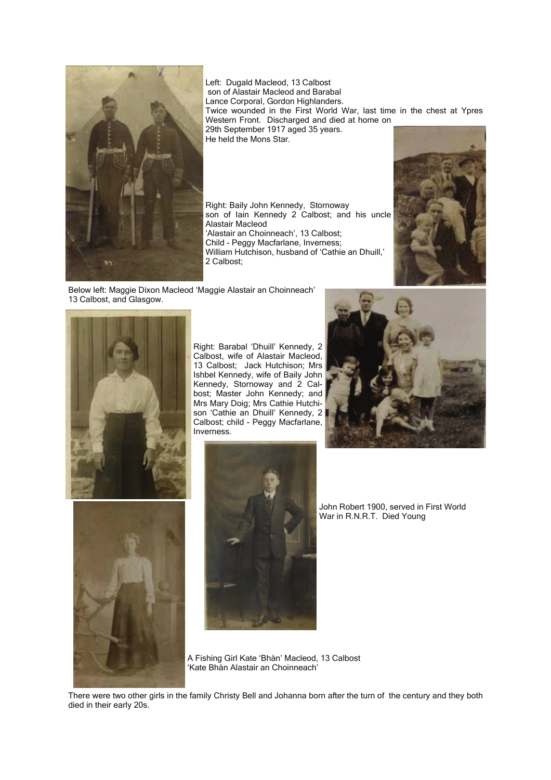

Left: Dugald Macleod, 13 Calbost son of Alastair Macleod and Barabal Lance Corporal, Gordon Highlanders. Twice wounded in the First World War, last time in the chest at Ypres Western Front. Discharged and died at home on 29th September 1917 aged 35 years. He held the Mons Star.

Right: Baily John Kennedy, Stornoway son of Iain Kennedy 2 Calbost; and his uncle Alastair Macleod 'Alastair an Choinneach', 13 Calbost; Child - Peggy Macfarlane, Inverness; William Hutchison, husband of 'Cathie an Dhuill,' 2 Calbost;



Below left: Maggie Dixon Macleod 'Maggie Alastair an Choinneach' 13 Calbost, and Glasgow.



Right: Barabal 'Dhuill' Kennedy, 2 Calbost, wife of Alastair Macleod, 13 Calbost; Jack Hutchison; Mrs Ishbel Kennedy, wife of Baily John Kennedy, Stornoway and 2 Calbost; Master John Kennedy; and Mrs Mary Doig; Mrs Cathie Hutchison 'Cathie an Dhuill' Kennedy, 2 Calbost; child - Peggy Macfarlane, Inverness.





John Robert 1900, served in First World War in R.N.R.T. Died Young

A Fishing Girl Kate 'Bhàn' Macleod, 13 Calbost 'Kate Bhàn Alastair an Choinneach'

There were two other girls in the family Christy Bell and Johanna born after the turn of the century and they both died in their early 20s.